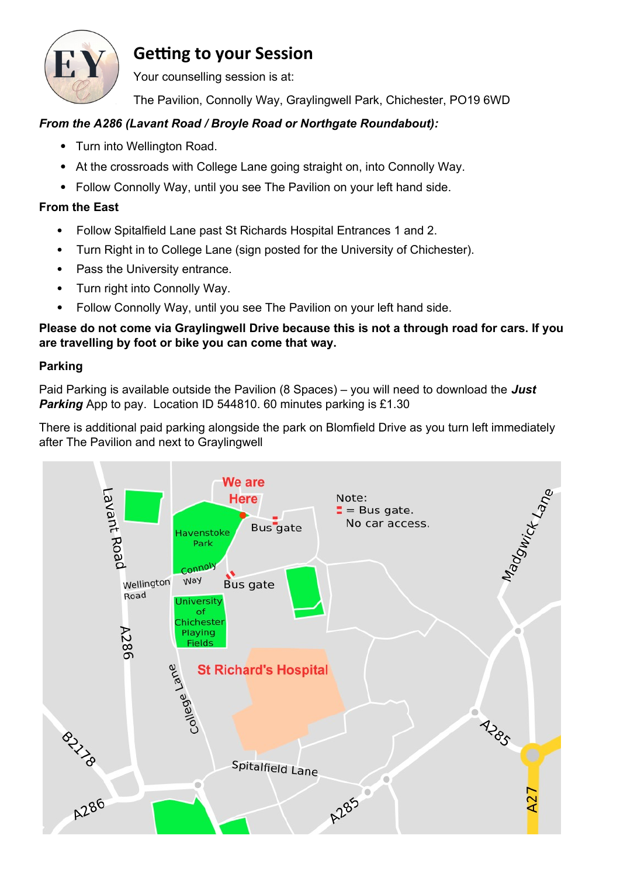

## **Getting to your Session**

Your counselling session is at:

The Pavilion, Connolly Way, Graylingwell Park, Chichester, PO19 6WD

## *From the A286 (Lavant Road / Broyle Road or Northgate Roundabout):*

- Turn into Wellington Road.
- At the crossroads with College Lane going straight on, into Connolly Way.
- Follow Connolly Way, until you see The Pavilion on your left hand side.

## **From the East**

- Follow Spitalfield Lane past St Richards Hospital Entrances 1 and 2.
- Turn Right in to College Lane (sign posted for the University of Chichester).
- Pass the University entrance.
- Turn right into Connolly Way.
- Follow Connolly Way, until you see The Pavilion on your left hand side.

**Please do not come via Graylingwell Drive because this is not a through road for cars. If you are travelling by foot or bike you can come that way.**

## **Parking**

Paid Parking is available outside the Pavilion (8 Spaces) – you will need to download the *Just*  **Parking** App to pay. Location ID 544810. 60 minutes parking is £1.30

There is additional paid parking alongside the park on Blomfield Drive as you turn left immediately after The Pavilion and next to Graylingwell